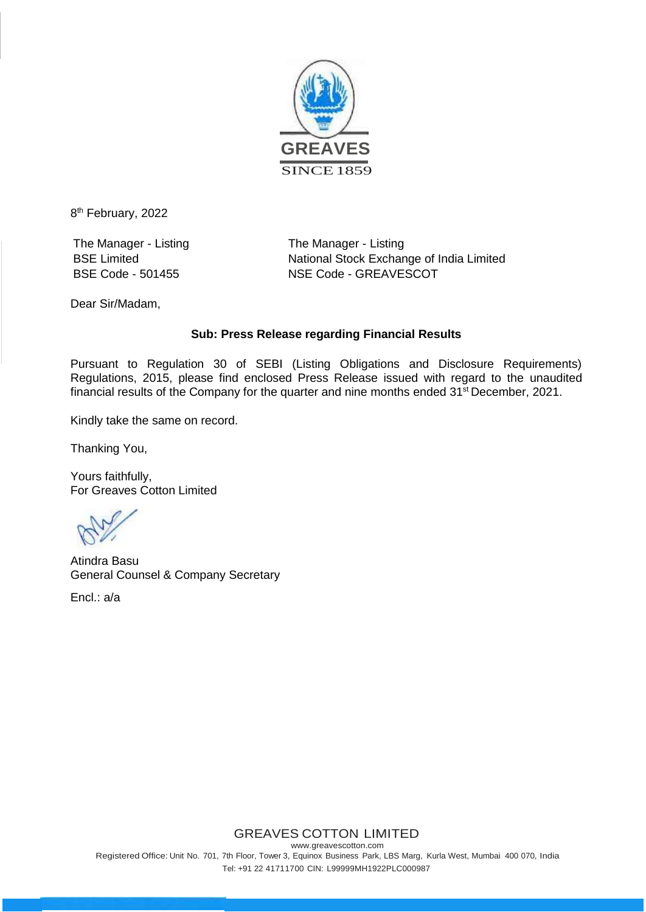

8<sup>th</sup> February, 2022

The Manager - Listing The Manager - Listing

BSE Limited **National Stock Exchange of India Limited** BSE Code - 501455 NSE Code - GREAVESCOT

Dear Sir/Madam,

## **Sub: Press Release regarding Financial Results**

Pursuant to Regulation 30 of SEBI (Listing Obligations and Disclosure Requirements) Regulations, 2015, please find enclosed Press Release issued with regard to the unaudited financial results of the Company for the quarter and nine months ended 31<sup>st</sup> December, 2021.

Kindly take the same on record.

Thanking You,

Yours faithfully, For Greaves Cotton Limited

Atindra Basu General Counsel & Company Secretary

Encl.: a/a

## GREAVES COTTON LIMITED

[www.greavescotton.com](http://www.greavescotton.com/) Registered Office: Unit No. 701, 7th Floor, Tower 3, Equinox Business Park, LBS Marg, Kurla West, Mumbai 400 070, India Tel: +91 22 41711700 CIN: L99999MH1922PLC000987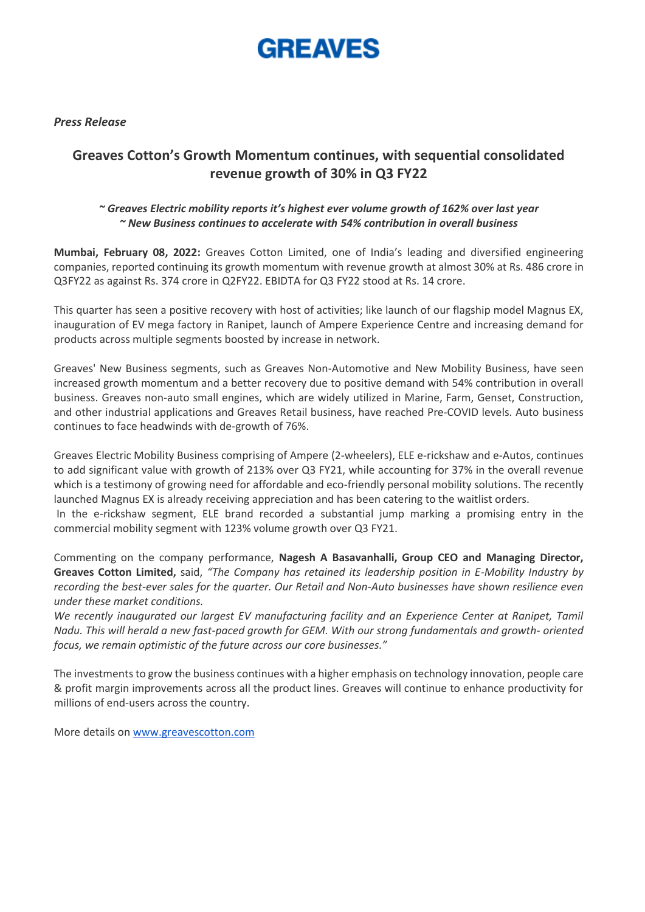

*Press Release*

# **Greaves Cotton's Growth Momentum continues, with sequential consolidated revenue growth of 30% in Q3 FY22**

## *~ Greaves Electric mobility reports it's highest ever volume growth of 162% over last year ~ New Business continues to accelerate with 54% contribution in overall business*

**Mumbai, February 08, 2022:** Greaves Cotton Limited, one of India's leading and diversified engineering companies, reported continuing its growth momentum with revenue growth at almost 30% at Rs. 486 crore in Q3FY22 as against Rs. 374 crore in Q2FY22. EBIDTA for Q3 FY22 stood at Rs. 14 crore.

This quarter has seen a positive recovery with host of activities; like launch of our flagship model Magnus EX, inauguration of EV mega factory in Ranipet, launch of Ampere Experience Centre and increasing demand for products across multiple segments boosted by increase in network.

Greaves' New Business segments, such as Greaves Non-Automotive and New Mobility Business, have seen increased growth momentum and a better recovery due to positive demand with 54% contribution in overall business. Greaves non-auto small engines, which are widely utilized in Marine, Farm, Genset, Construction, and other industrial applications and Greaves Retail business, have reached Pre-COVID levels. Auto business continues to face headwinds with de-growth of 76%.

Greaves Electric Mobility Business comprising of Ampere (2-wheelers), ELE e-rickshaw and e-Autos, continues to add significant value with growth of 213% over Q3 FY21, while accounting for 37% in the overall revenue which is a testimony of growing need for affordable and eco-friendly personal mobility solutions. The recently launched Magnus EX is already receiving appreciation and has been catering to the waitlist orders.

In the e-rickshaw segment, ELE brand recorded a substantial jump marking a promising entry in the commercial mobility segment with 123% volume growth over Q3 FY21.

Commenting on the company performance, **Nagesh A Basavanhalli, Group CEO and Managing Director, Greaves Cotton Limited,** said, *"The Company has retained its leadership position in E-Mobility Industry by recording the best-ever sales for the quarter. Our Retail and Non-Auto businesses have shown resilience even under these market conditions.* 

*We recently inaugurated our largest EV manufacturing facility and an Experience Center at Ranipet, Tamil Nadu. This will herald a new fast-paced growth for GEM. With our strong fundamentals and growth- oriented focus, we remain optimistic of the future across our core businesses."*

The investments to grow the business continues with a higher emphasis on technology innovation, people care & profit margin improvements across all the product lines. Greaves will continue to enhance productivity for millions of end-users across the country.

More details on [www.greavescotton.com](http://www.greavescotton.com/)